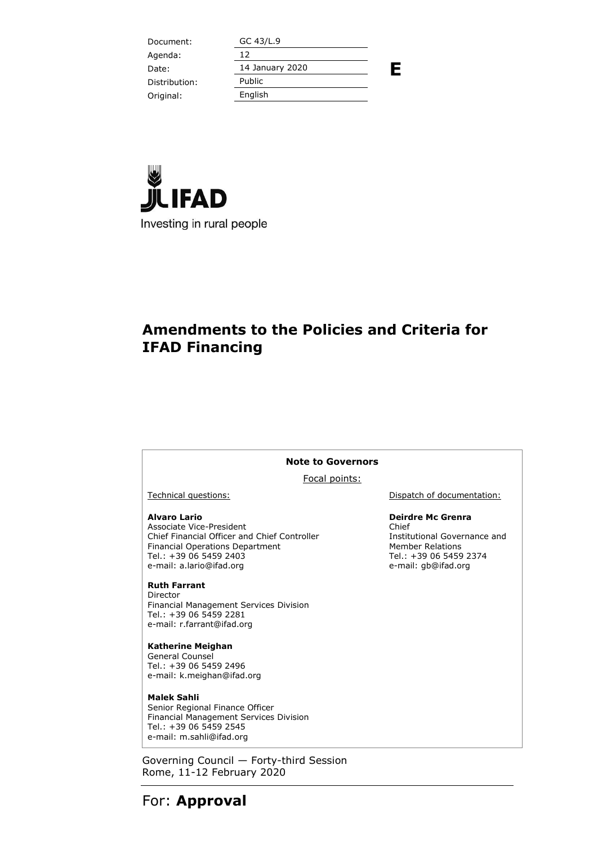| Document:     | GC 43/L.9       |   |
|---------------|-----------------|---|
| Agenda:       | 12              |   |
| Date:         | 14 January 2020 | Ε |
| Distribution: | Public          |   |
| Original:     | English         |   |
|               |                 |   |



### **Amendments to the Policies and Criteria for IFAD Financing**

#### **Note to Governors**

Focal points:

#### **Alvaro Lario**

Associate Vice-President Chief Financial Officer and Chief Controller Financial Operations Department Tel.: +39 06 5459 2403 e-mail: a.lario@ifad.org

#### **Ruth Farrant**

Director Financial Management Services Division Tel.: +39 06 5459 2281 e-mail: r.farrant@ifad.org

#### **Katherine Meighan**

General Counsel Tel.: +39 06 5459 2496 e-mail: k.meighan@ifad.org

#### **Malek Sahli**

Senior Regional Finance Officer Financial Management Services Division Tel.: +39 06 5459 2545 e-mail: m.sahli@ifad.org

Governing Council — Forty-third Session Rome, 11-12 February 2020

Technical questions:  $\qquad \qquad$  Dispatch of documentation:

#### **Deirdre Mc Grenra**

Chief Institutional Governance and Member Relations Tel.: +39 06 5459 2374 e-mail: gb@ifad.org

For: **Approval**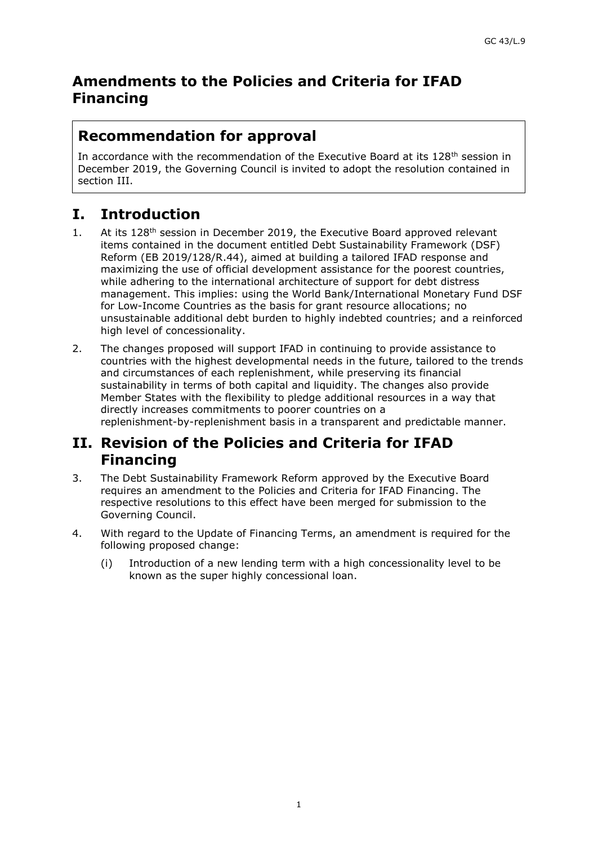### **Amendments to the Policies and Criteria for IFAD Financing**

# **Recommendation for approval**

In accordance with the recommendation of the Executive Board at its 128<sup>th</sup> session in December 2019, the Governing Council is invited to adopt the resolution contained in section III.

# **I. Introduction**

- 1. At its 128<sup>th</sup> session in December 2019, the Executive Board approved relevant items contained in the document entitled Debt Sustainability Framework (DSF) Reform (EB 2019/128/R.44), aimed at building a tailored IFAD response and maximizing the use of official development assistance for the poorest countries, while adhering to the international architecture of support for debt distress management. This implies: using the World Bank/International Monetary Fund DSF for Low-Income Countries as the basis for grant resource allocations; no unsustainable additional debt burden to highly indebted countries; and a reinforced high level of concessionality.
- 2. The changes proposed will support IFAD in continuing to provide assistance to countries with the highest developmental needs in the future, tailored to the trends and circumstances of each replenishment, while preserving its financial sustainability in terms of both capital and liquidity. The changes also provide Member States with the flexibility to pledge additional resources in a way that directly increases commitments to poorer countries on a replenishment-by-replenishment basis in a transparent and predictable manner.

## **II. Revision of the Policies and Criteria for IFAD Financing**

- 3. The Debt Sustainability Framework Reform approved by the Executive Board requires an amendment to the Policies and Criteria for IFAD Financing. The respective resolutions to this effect have been merged for submission to the Governing Council.
- 4. With regard to the Update of Financing Terms, an amendment is required for the following proposed change:
	- (i) Introduction of a new lending term with a high concessionality level to be known as the super highly concessional loan.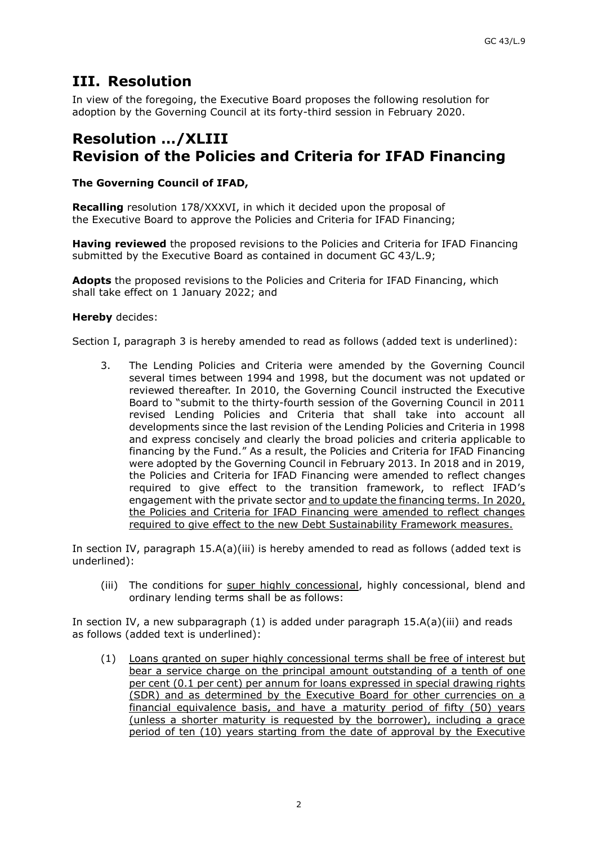## **III. Resolution**

In view of the foregoing, the Executive Board proposes the following resolution for adoption by the Governing Council at its forty-third session in February 2020.

### **Resolution …/XLIII Revision of the Policies and Criteria for IFAD Financing**

### **The Governing Council of IFAD,**

**Recalling** resolution 178/XXXVI, in which it decided upon the proposal of the Executive Board to approve the Policies and Criteria for IFAD Financing;

**Having reviewed** the proposed revisions to the Policies and Criteria for IFAD Financing submitted by the Executive Board as contained in document GC 43/L.9;

**Adopts** the proposed revisions to the Policies and Criteria for IFAD Financing, which shall take effect on 1 January 2022; and

#### **Hereby** decides:

Section I, paragraph 3 is hereby amended to read as follows (added text is underlined):

3. The Lending Policies and Criteria were amended by the Governing Council several times between 1994 and 1998, but the document was not updated or reviewed thereafter. In 2010, the Governing Council instructed the Executive Board to "submit to the thirty-fourth session of the Governing Council in 2011 revised Lending Policies and Criteria that shall take into account all developments since the last revision of the Lending Policies and Criteria in 1998 and express concisely and clearly the broad policies and criteria applicable to financing by the Fund." As a result, the Policies and Criteria for IFAD Financing were adopted by the Governing Council in February 2013. In 2018 and in 2019, the Policies and Criteria for IFAD Financing were amended to reflect changes required to give effect to the transition framework, to reflect IFAD's engagement with the private sector and to update the financing terms. In 2020, the Policies and Criteria for IFAD Financing were amended to reflect changes required to give effect to the new Debt Sustainability Framework measures.

In section IV, paragraph  $15.A(a)(iii)$  is hereby amended to read as follows (added text is underlined):

(iii) The conditions for super highly concessional, highly concessional, blend and ordinary lending terms shall be as follows:

In section IV, a new subparagraph  $(1)$  is added under paragraph  $15.A(a)(iii)$  and reads as follows (added text is underlined):

(1) Loans granted on super highly concessional terms shall be free of interest but bear a service charge on the principal amount outstanding of a tenth of one per cent (0.1 per cent) per annum for loans expressed in special drawing rights (SDR) and as determined by the Executive Board for other currencies on a financial equivalence basis, and have a maturity period of fifty (50) years (unless a shorter maturity is requested by the borrower), including a grace period of ten (10) years starting from the date of approval by the Executive